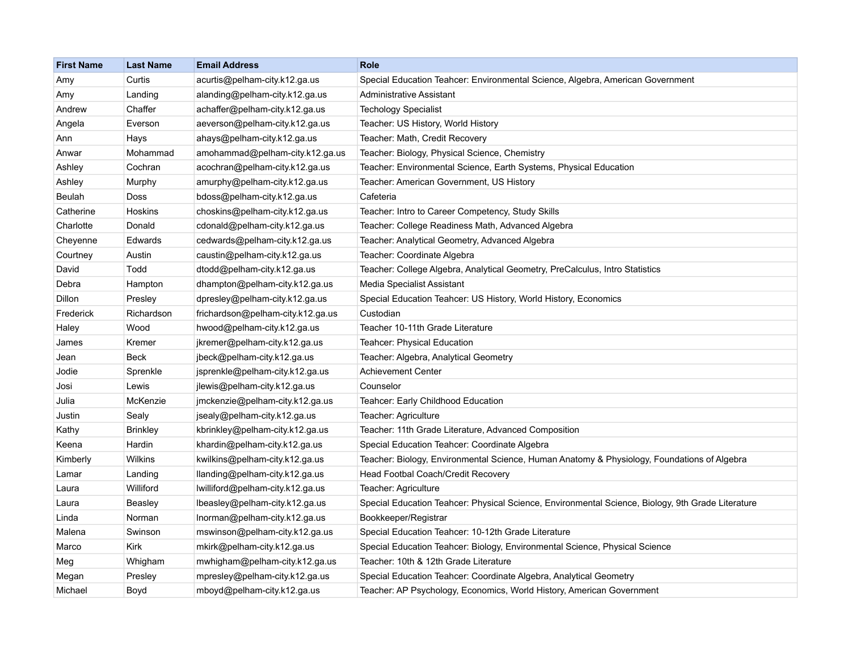| <b>First Name</b> | <b>Last Name</b> | <b>Email Address</b>              | <b>Role</b>                                                                                       |
|-------------------|------------------|-----------------------------------|---------------------------------------------------------------------------------------------------|
| Amy               | Curtis           | acurtis@pelham-city.k12.ga.us     | Special Education Teahcer: Environmental Science, Algebra, American Government                    |
| Amy               | Landing          | alanding@pelham-city.k12.ga.us    | Administrative Assistant                                                                          |
| Andrew            | Chaffer          | achaffer@pelham-city.k12.ga.us    | <b>Techology Specialist</b>                                                                       |
| Angela            | Everson          | aeverson@pelham-city.k12.ga.us    | Teacher: US History, World History                                                                |
| Ann               | Hays             | ahays@pelham-city.k12.ga.us       | Teacher: Math, Credit Recovery                                                                    |
| Anwar             | Mohammad         | amohammad@pelham-city.k12.ga.us   | Teacher: Biology, Physical Science, Chemistry                                                     |
| Ashley            | Cochran          | acochran@pelham-city.k12.ga.us    | Teacher: Environmental Science, Earth Systems, Physical Education                                 |
| Ashley            | Murphy           | amurphy@pelham-city.k12.ga.us     | Teacher: American Government, US History                                                          |
| Beulah            | Doss             | bdoss@pelham-city.k12.ga.us       | Cafeteria                                                                                         |
| Catherine         | Hoskins          | choskins@pelham-city.k12.ga.us    | Teacher: Intro to Career Competency, Study Skills                                                 |
| Charlotte         | Donald           | cdonald@pelham-city.k12.ga.us     | Teacher: College Readiness Math, Advanced Algebra                                                 |
| Cheyenne          | Edwards          | cedwards@pelham-city.k12.ga.us    | Teacher: Analytical Geometry, Advanced Algebra                                                    |
| Courtney          | Austin           | caustin@pelham-city.k12.ga.us     | Teacher: Coordinate Algebra                                                                       |
| David             | Todd             | dtodd@pelham-city.k12.ga.us       | Teacher: College Algebra, Analytical Geometry, PreCalculus, Intro Statistics                      |
| Debra             | Hampton          | dhampton@pelham-city.k12.ga.us    | Media Specialist Assistant                                                                        |
| Dillon            | Presley          | dpresley@pelham-city.k12.ga.us    | Special Education Teahcer: US History, World History, Economics                                   |
| Frederick         | Richardson       | frichardson@pelham-city.k12.ga.us | Custodian                                                                                         |
| Haley             | Wood             | hwood@pelham-city.k12.ga.us       | Teacher 10-11th Grade Literature                                                                  |
| James             | Kremer           | jkremer@pelham-city.k12.ga.us     | Teahcer: Physical Education                                                                       |
| Jean              | Beck             | jbeck@pelham-city.k12.ga.us       | Teacher: Algebra, Analytical Geometry                                                             |
| Jodie             | Sprenkle         | jsprenkle@pelham-city.k12.ga.us   | <b>Achievement Center</b>                                                                         |
| Josi              | Lewis            | jlewis@pelham-city.k12.ga.us      | Counselor                                                                                         |
| Julia             | McKenzie         | jmckenzie@pelham-city.k12.ga.us   | Teahcer: Early Childhood Education                                                                |
| Justin            | Sealy            | jsealy@pelham-city.k12.ga.us      | Teacher: Agriculture                                                                              |
| Kathy             | <b>Brinkley</b>  | kbrinkley@pelham-city.k12.ga.us   | Teacher: 11th Grade Literature, Advanced Composition                                              |
| Keena             | Hardin           | khardin@pelham-city.k12.ga.us     | Special Education Teahcer: Coordinate Algebra                                                     |
| Kimberly          | <b>Wilkins</b>   | kwilkins@pelham-city.k12.ga.us    | Teacher: Biology, Environmental Science, Human Anatomy & Physiology, Foundations of Algebra       |
| Lamar             | Landing          | llanding@pelham-city.k12.ga.us    | Head Footbal Coach/Credit Recovery                                                                |
| Laura             | Williford        | lwilliford@pelham-city.k12.ga.us  | Teacher: Agriculture                                                                              |
| Laura             | Beasley          | lbeasley@pelham-city.k12.ga.us    | Special Education Teahcer: Physical Science, Environmental Science, Biology, 9th Grade Literature |
| Linda             | Norman           | Inorman@pelham-city.k12.ga.us     | Bookkeeper/Registrar                                                                              |
| Malena            | Swinson          | mswinson@pelham-city.k12.ga.us    | Special Education Teahcer: 10-12th Grade Literature                                               |
| Marco             | Kirk             | mkirk@pelham-city.k12.ga.us       | Special Education Teahcer: Biology, Environmental Science, Physical Science                       |
| Meg               | Whigham          | mwhigham@pelham-city.k12.ga.us    | Teacher: 10th & 12th Grade Literature                                                             |
| Megan             | Presley          | mpresley@pelham-city.k12.ga.us    | Special Education Teahcer: Coordinate Algebra, Analytical Geometry                                |
| Michael           | Boyd             | mboyd@pelham-city.k12.ga.us       | Teacher: AP Psychology, Economics, World History, American Government                             |